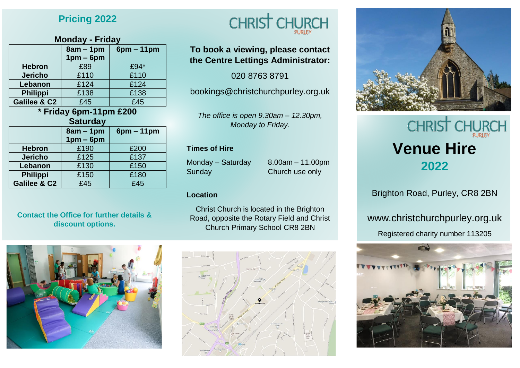# **Pricing 2022**

### **Monday - Friday**

|                         | $8am - 1pm$ | $6pm - 11pm$ |
|-------------------------|-------------|--------------|
|                         | $1pm-6pm$   |              |
| <b>Hebron</b>           | £89         | £94*         |
| <b>Jericho</b>          | £110        | £110         |
| Lebanon                 | £124        | £124         |
| <b>Philippi</b>         | £138        | £138         |
| <b>Galilee &amp; C2</b> | £45         | £45          |

# **\* Friday 6pm-11pm £200**

| <b>Saturday</b>         |                          |              |  |
|-------------------------|--------------------------|--------------|--|
|                         | $8am - 1pm$<br>$1pm-6pm$ | $6pm - 11pm$ |  |
| <b>Hebron</b>           | £190                     | £200         |  |
| <b>Jericho</b>          | £125                     | £137         |  |
| Lebanon                 | £130                     | £150         |  |
| <b>Philippi</b>         | £150                     | £180         |  |
| <b>Galilee &amp; C2</b> | £45                      | £45          |  |

#### **Contact the Office for further details & discount options.**





# **To book a viewing, please contact the Centre Lettings Administrator:**

020 8763 8791

bookings@christchurchpurley.org.uk

*The office is open 9.30am – 12.30pm, Monday to Friday.*

#### **Times of Hire**

Monday – Saturday 8.00am – 11.00pm Sunday Church use only

#### **Location**

Christ Church is located in the Brighton Road, opposite the Rotary Field and Christ Church Primary School CR8 2BN





# **CHRIST CHUR Venue Hire 2022**

Brighton Road, Purley, CR8 2BN

www.christchurchpurley.org.uk

Registered charity number 113205